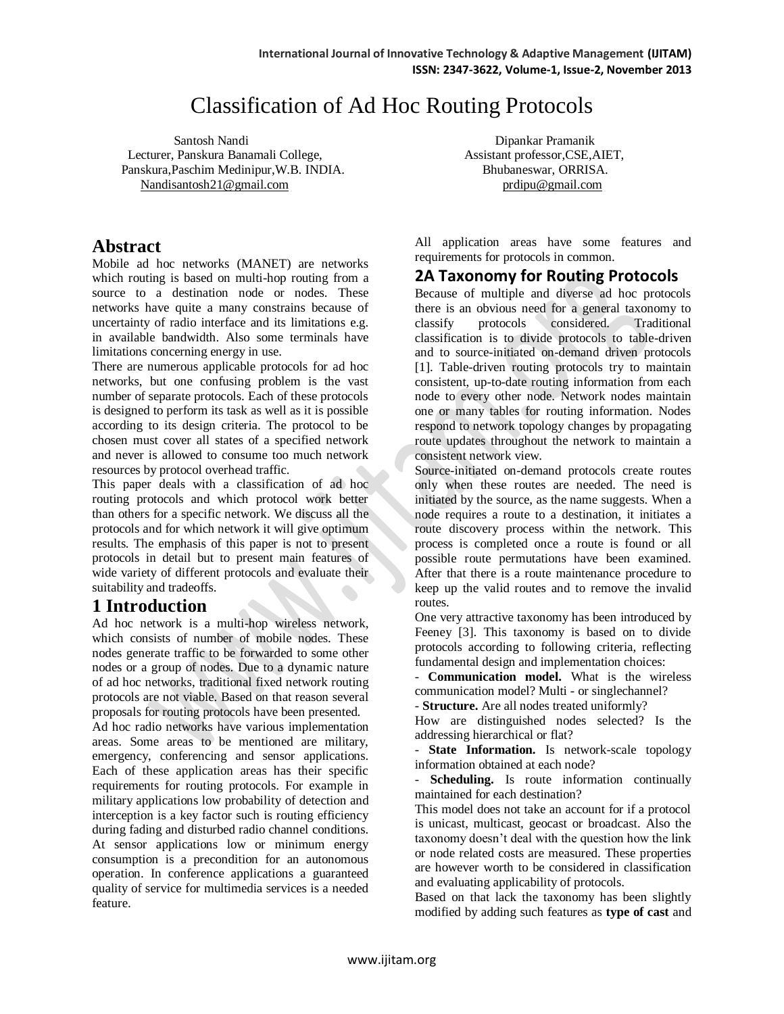# Classification of Ad Hoc Routing Protocols

Santosh Nandi Dipankar Pramanik Lecturer, Panskura Banamali College, Assistant professor, CSE, AIET, Panskura, Paschim Medinipur, W.B. INDIA. Bhubaneswar, ORRISA. [Nandisantosh21@gmail.com](mailto:Nandisantosh21@gmail.com) prdipu@gmail.com

# **Abstract**

Mobile ad hoc networks (MANET) are networks which routing is based on multi-hop routing from a source to a destination node or nodes. These networks have quite a many constrains because of uncertainty of radio interface and its limitations e.g. in available bandwidth. Also some terminals have limitations concerning energy in use.

There are numerous applicable protocols for ad hoc networks, but one confusing problem is the vast number of separate protocols. Each of these protocols is designed to perform its task as well as it is possible according to its design criteria. The protocol to be chosen must cover all states of a specified network and never is allowed to consume too much network resources by protocol overhead traffic.

This paper deals with a classification of ad hoc routing protocols and which protocol work better than others for a specific network. We discuss all the protocols and for which network it will give optimum results. The emphasis of this paper is not to present protocols in detail but to present main features of wide variety of different protocols and evaluate their suitability and tradeoffs.

# **1 Introduction**

Ad hoc network is a multi-hop wireless network, which consists of number of mobile nodes. These nodes generate traffic to be forwarded to some other nodes or a group of nodes. Due to a dynamic nature of ad hoc networks, traditional fixed network routing protocols are not viable. Based on that reason several proposals for routing protocols have been presented.

Ad hoc radio networks have various implementation areas. Some areas to be mentioned are military, emergency, conferencing and sensor applications. Each of these application areas has their specific requirements for routing protocols. For example in military applications low probability of detection and interception is a key factor such is routing efficiency during fading and disturbed radio channel conditions. At sensor applications low or minimum energy consumption is a precondition for an autonomous operation. In conference applications a guaranteed quality of service for multimedia services is a needed feature.

All application areas have some features and requirements for protocols in common.

# **2A Taxonomy for Routing Protocols**

Because of multiple and diverse ad hoc protocols there is an obvious need for a general taxonomy to classify protocols considered. Traditional classification is to divide protocols to table-driven and to source-initiated on-demand driven protocols [1]. Table-driven routing protocols try to maintain consistent, up-to-date routing information from each node to every other node. Network nodes maintain one or many tables for routing information. Nodes respond to network topology changes by propagating route updates throughout the network to maintain a consistent network view.

Source-initiated on-demand protocols create routes only when these routes are needed. The need is initiated by the source, as the name suggests. When a node requires a route to a destination, it initiates a route discovery process within the network. This process is completed once a route is found or all possible route permutations have been examined. After that there is a route maintenance procedure to keep up the valid routes and to remove the invalid routes.

One very attractive taxonomy has been introduced by Feeney [3]. This taxonomy is based on to divide protocols according to following criteria, reflecting fundamental design and implementation choices:

- **Communication model.** What is the wireless communication model? Multi - or singlechannel?

- **Structure.** Are all nodes treated uniformly?

How are distinguished nodes selected? Is the addressing hierarchical or flat?

- **State Information.** Is network-scale topology information obtained at each node?

- **Scheduling.** Is route information continually maintained for each destination?

This model does not take an account for if a protocol is unicast, multicast, geocast or broadcast. Also the taxonomy doesn't deal with the question how the link or node related costs are measured. These properties are however worth to be considered in classification and evaluating applicability of protocols.

Based on that lack the taxonomy has been slightly modified by adding such features as **type of cast** and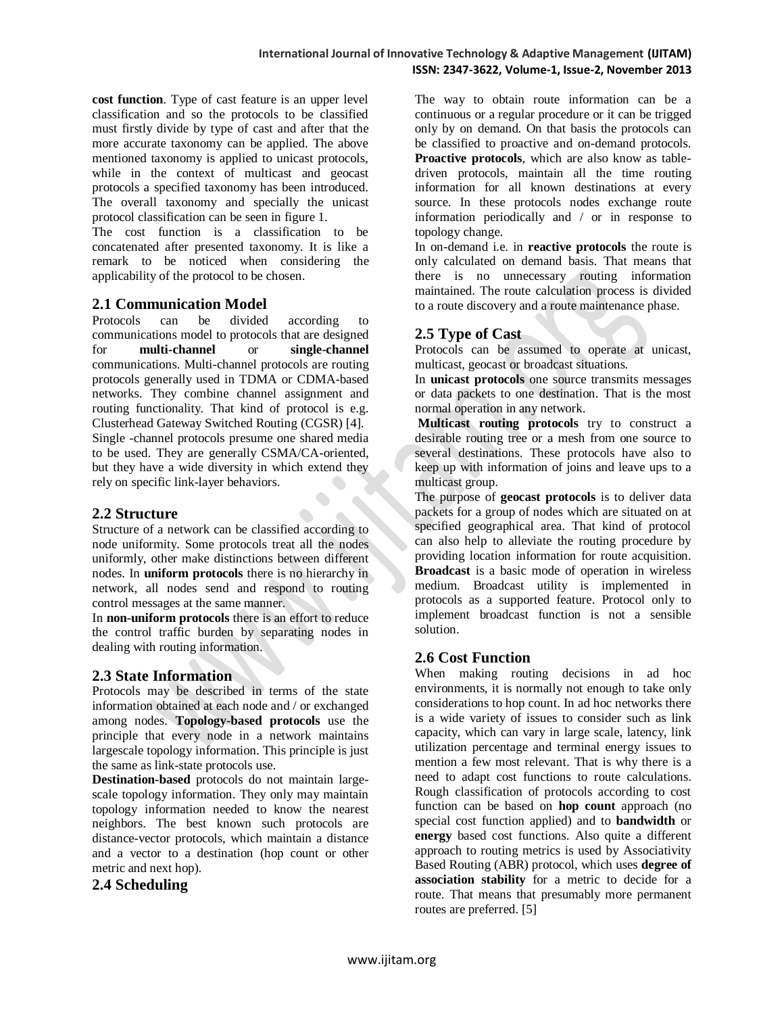**cost function**. Type of cast feature is an upper level classification and so the protocols to be classified must firstly divide by type of cast and after that the more accurate taxonomy can be applied. The above mentioned taxonomy is applied to unicast protocols, while in the context of multicast and geocast protocols a specified taxonomy has been introduced. The overall taxonomy and specially the unicast protocol classification can be seen in figure 1.

The cost function is a classification to be concatenated after presented taxonomy. It is like a remark to be noticed when considering the applicability of the protocol to be chosen.

# **2.1 Communication Model**

Protocols can be divided according to communications model to protocols that are designed for **multi-channel** or **single-channel**  communications. Multi-channel protocols are routing protocols generally used in TDMA or CDMA-based networks. They combine channel assignment and routing functionality. That kind of protocol is e.g. Clusterhead Gateway Switched Routing (CGSR) [4]. Single -channel protocols presume one shared media to be used. They are generally CSMA/CA-oriented, but they have a wide diversity in which extend they rely on specific link-layer behaviors.

# **2.2 Structure**

Structure of a network can be classified according to node uniformity. Some protocols treat all the nodes uniformly, other make distinctions between different nodes. In **uniform protocols** there is no hierarchy in network, all nodes send and respond to routing control messages at the same manner.

In **non-uniform protocols** there is an effort to reduce the control traffic burden by separating nodes in dealing with routing information.

# **2.3 State Information**

Protocols may be described in terms of the state information obtained at each node and / or exchanged among nodes. **Topology-based protocols** use the principle that every node in a network maintains largescale topology information. This principle is just the same as link-state protocols use.

**Destination-based** protocols do not maintain largescale topology information. They only may maintain topology information needed to know the nearest neighbors. The best known such protocols are distance-vector protocols, which maintain a distance and a vector to a destination (hop count or other metric and next hop).

# **2.4 Scheduling**

The way to obtain route information can be a continuous or a regular procedure or it can be trigged only by on demand. On that basis the protocols can be classified to proactive and on-demand protocols. **Proactive protocols**, which are also know as tabledriven protocols, maintain all the time routing information for all known destinations at every source. In these protocols nodes exchange route information periodically and / or in response to topology change.

In on-demand i.e. in **reactive protocols** the route is only calculated on demand basis. That means that there is no unnecessary routing information maintained. The route calculation process is divided to a route discovery and a route maintenance phase.

# **2.5 Type of Cast**

Protocols can be assumed to operate at unicast, multicast, geocast or broadcast situations.

In **unicast protocols** one source transmits messages or data packets to one destination. That is the most normal operation in any network.

**Multicast routing protocols** try to construct a desirable routing tree or a mesh from one source to several destinations. These protocols have also to keep up with information of joins and leave ups to a multicast group.

The purpose of **geocast protocols** is to deliver data packets for a group of nodes which are situated on at specified geographical area. That kind of protocol can also help to alleviate the routing procedure by providing location information for route acquisition. **Broadcast** is a basic mode of operation in wireless medium. Broadcast utility is implemented in protocols as a supported feature. Protocol only to implement broadcast function is not a sensible solution.

# **2.6 Cost Function**

When making routing decisions in ad hoc environments, it is normally not enough to take only considerations to hop count. In ad hoc networks there is a wide variety of issues to consider such as link capacity, which can vary in large scale, latency, link utilization percentage and terminal energy issues to mention a few most relevant. That is why there is a need to adapt cost functions to route calculations. Rough classification of protocols according to cost function can be based on **hop count** approach (no special cost function applied) and to **bandwidth** or **energy** based cost functions. Also quite a different approach to routing metrics is used by Associativity Based Routing (ABR) protocol, which uses **degree of association stability** for a metric to decide for a route. That means that presumably more permanent routes are preferred. [5]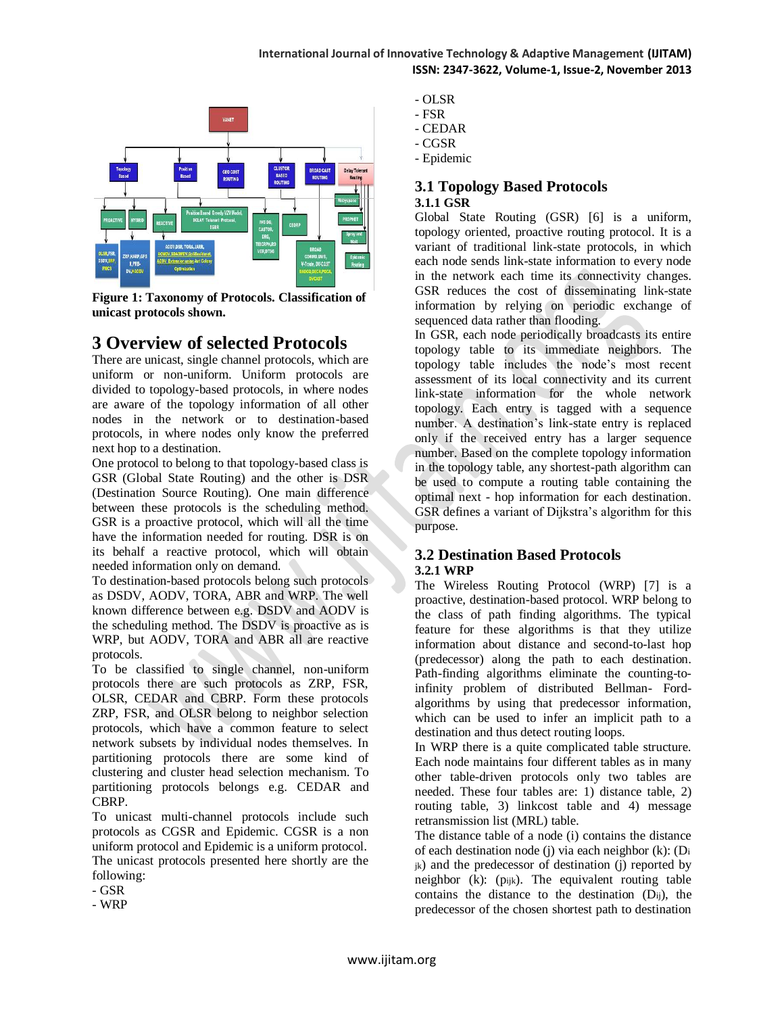

**Figure 1: Taxonomy of Protocols. Classification of unicast protocols shown.**

# **3 Overview of selected Protocols**

There are unicast, single channel protocols, which are uniform or non-uniform. Uniform protocols are divided to topology-based protocols, in where nodes are aware of the topology information of all other nodes in the network or to destination-based protocols, in where nodes only know the preferred next hop to a destination.

One protocol to belong to that topology-based class is GSR (Global State Routing) and the other is DSR (Destination Source Routing). One main difference between these protocols is the scheduling method. GSR is a proactive protocol, which will all the time have the information needed for routing. DSR is on its behalf a reactive protocol, which will obtain needed information only on demand.

To destination-based protocols belong such protocols as DSDV, AODV, TORA, ABR and WRP. The well known difference between e.g. DSDV and AODV is the scheduling method. The DSDV is proactive as is WRP, but AODV, TORA and ABR all are reactive protocols.

To be classified to single channel, non-uniform protocols there are such protocols as ZRP, FSR, OLSR, CEDAR and CBRP. Form these protocols ZRP, FSR, and OLSR belong to neighbor selection protocols, which have a common feature to select network subsets by individual nodes themselves. In partitioning protocols there are some kind of clustering and cluster head selection mechanism. To partitioning protocols belongs e.g. CEDAR and CBRP.

To unicast multi-channel protocols include such protocols as CGSR and Epidemic. CGSR is a non uniform protocol and Epidemic is a uniform protocol. The unicast protocols presented here shortly are the following:

- GSR
- WRP
- OLSR
- FSR
- CEDAR
- CGSR
- Epidemic

# **3.1 Topology Based Protocols 3.1.1 GSR**

Global State Routing (GSR) [6] is a uniform, topology oriented, proactive routing protocol. It is a variant of traditional link-state protocols, in which each node sends link-state information to every node in the network each time its connectivity changes. GSR reduces the cost of disseminating link-state information by relying on periodic exchange of sequenced data rather than flooding.

In GSR, each node periodically broadcasts its entire topology table to its immediate neighbors. The topology table includes the node's most recent assessment of its local connectivity and its current link-state information for the whole network topology. Each entry is tagged with a sequence number. A destination's link-state entry is replaced only if the received entry has a larger sequence number. Based on the complete topology information in the topology table, any shortest-path algorithm can be used to compute a routing table containing the optimal next - hop information for each destination. GSR defines a variant of Dijkstra's algorithm for this purpose.

# **3.2 Destination Based Protocols 3.2.1 WRP**

The Wireless Routing Protocol (WRP) [7] is a proactive, destination-based protocol. WRP belong to the class of path finding algorithms. The typical feature for these algorithms is that they utilize information about distance and second-to-last hop (predecessor) along the path to each destination. Path-finding algorithms eliminate the counting-toinfinity problem of distributed Bellman- Fordalgorithms by using that predecessor information, which can be used to infer an implicit path to a destination and thus detect routing loops.

In WRP there is a quite complicated table structure. Each node maintains four different tables as in many other table-driven protocols only two tables are needed. These four tables are: 1) distance table, 2) routing table, 3) linkcost table and 4) message retransmission list (MRL) table.

The distance table of a node (i) contains the distance of each destination node (j) via each neighbor (k): (D<sup>i</sup>  $_{ik}$ ) and the predecessor of destination (j) reported by neighbor (k): (pijk). The equivalent routing table contains the distance to the destination (Dij), the predecessor of the chosen shortest path to destination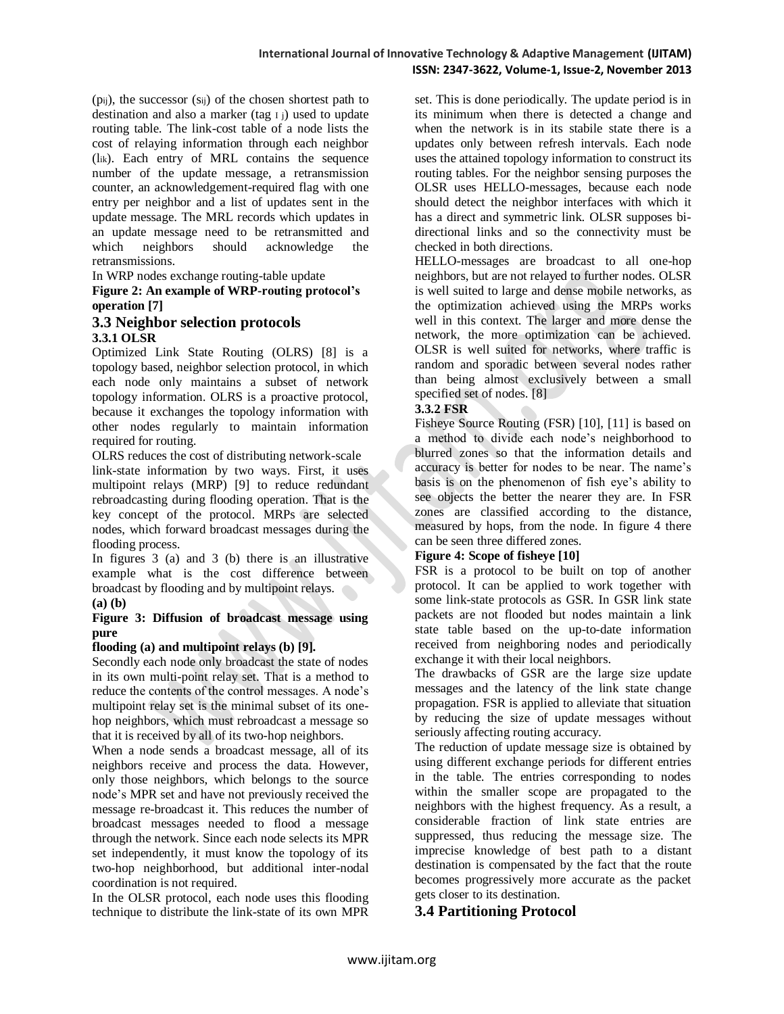(pij), the successor (sij) of the chosen shortest path to destination and also a marker (tag  $I_i$ ) used to update routing table. The link-cost table of a node lists the cost of relaying information through each neighbor (lik). Each entry of MRL contains the sequence number of the update message, a retransmission counter, an acknowledgement-required flag with one entry per neighbor and a list of updates sent in the update message. The MRL records which updates in an update message need to be retransmitted and which neighbors should acknowledge the retransmissions.

In WRP nodes exchange routing-table update

#### **Figure 2: An example of WRP-routing protocol's operation [7]**

# **3.3 Neighbor selection protocols 3.3.1 OLSR**

Optimized Link State Routing (OLRS) [8] is a topology based, neighbor selection protocol, in which each node only maintains a subset of network topology information. OLRS is a proactive protocol, because it exchanges the topology information with other nodes regularly to maintain information required for routing.

OLRS reduces the cost of distributing network-scale link-state information by two ways. First, it uses multipoint relays (MRP) [9] to reduce redundant rebroadcasting during flooding operation. That is the key concept of the protocol. MRPs are selected nodes, which forward broadcast messages during the flooding process.

In figures 3 (a) and 3 (b) there is an illustrative example what is the cost difference between broadcast by flooding and by multipoint relays.

#### **(a) (b)**

#### **Figure 3: Diffusion of broadcast message using pure**

#### **flooding (a) and multipoint relays (b) [9].**

Secondly each node only broadcast the state of nodes in its own multi-point relay set. That is a method to reduce the contents of the control messages. A node's multipoint relay set is the minimal subset of its onehop neighbors, which must rebroadcast a message so that it is received by all of its two-hop neighbors.

When a node sends a broadcast message, all of its neighbors receive and process the data. However, only those neighbors, which belongs to the source node's MPR set and have not previously received the message re-broadcast it. This reduces the number of broadcast messages needed to flood a message through the network. Since each node selects its MPR set independently, it must know the topology of its two-hop neighborhood, but additional inter-nodal coordination is not required.

In the OLSR protocol, each node uses this flooding technique to distribute the link-state of its own MPR

set. This is done periodically. The update period is in its minimum when there is detected a change and when the network is in its stabile state there is a updates only between refresh intervals. Each node uses the attained topology information to construct its routing tables. For the neighbor sensing purposes the OLSR uses HELLO-messages, because each node should detect the neighbor interfaces with which it has a direct and symmetric link. OLSR supposes bidirectional links and so the connectivity must be checked in both directions.

HELLO-messages are broadcast to all one-hop neighbors, but are not relayed to further nodes. OLSR is well suited to large and dense mobile networks, as the optimization achieved using the MRPs works well in this context. The larger and more dense the network, the more optimization can be achieved. OLSR is well suited for networks, where traffic is random and sporadic between several nodes rather than being almost exclusively between a small specified set of nodes. [8]

#### **3.3.2 FSR**

Fisheye Source Routing (FSR) [10], [11] is based on a method to divide each node's neighborhood to blurred zones so that the information details and accuracy is better for nodes to be near. The name's basis is on the phenomenon of fish eye's ability to see objects the better the nearer they are. In FSR zones are classified according to the distance, measured by hops, from the node. In figure 4 there can be seen three differed zones.

#### **Figure 4: Scope of fisheye [10]**

FSR is a protocol to be built on top of another protocol. It can be applied to work together with some link-state protocols as GSR. In GSR link state packets are not flooded but nodes maintain a link state table based on the up-to-date information received from neighboring nodes and periodically exchange it with their local neighbors.

The drawbacks of GSR are the large size update messages and the latency of the link state change propagation. FSR is applied to alleviate that situation by reducing the size of update messages without seriously affecting routing accuracy.

The reduction of update message size is obtained by using different exchange periods for different entries in the table. The entries corresponding to nodes within the smaller scope are propagated to the neighbors with the highest frequency. As a result, a considerable fraction of link state entries are suppressed, thus reducing the message size. The imprecise knowledge of best path to a distant destination is compensated by the fact that the route becomes progressively more accurate as the packet gets closer to its destination.

# **3.4 Partitioning Protocol**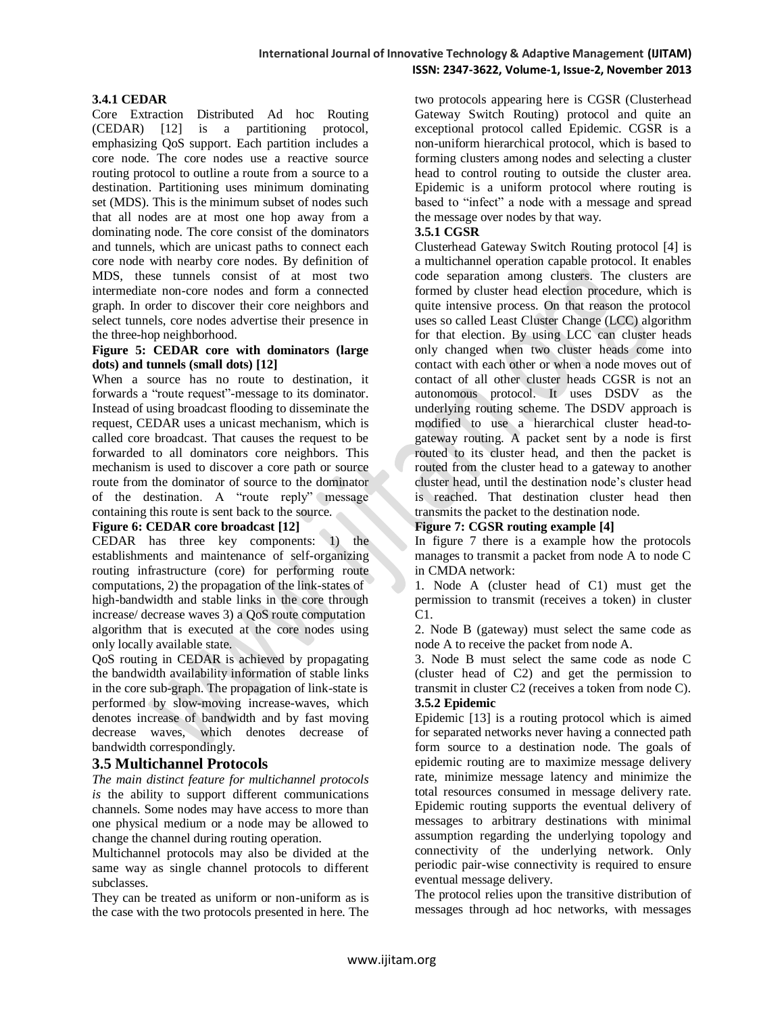#### **3.4.1 CEDAR**

Core Extraction Distributed Ad hoc Routing (CEDAR) [12] is a partitioning protocol, emphasizing QoS support. Each partition includes a core node. The core nodes use a reactive source routing protocol to outline a route from a source to a destination. Partitioning uses minimum dominating set (MDS). This is the minimum subset of nodes such that all nodes are at most one hop away from a dominating node. The core consist of the dominators and tunnels, which are unicast paths to connect each core node with nearby core nodes. By definition of MDS, these tunnels consist of at most two intermediate non-core nodes and form a connected graph. In order to discover their core neighbors and select tunnels, core nodes advertise their presence in the three-hop neighborhood.

#### **Figure 5: CEDAR core with dominators (large dots) and tunnels (small dots) [12]**

When a source has no route to destination, it forwards a "route request"-message to its dominator. Instead of using broadcast flooding to disseminate the request, CEDAR uses a unicast mechanism, which is called core broadcast. That causes the request to be forwarded to all dominators core neighbors. This mechanism is used to discover a core path or source route from the dominator of source to the dominator of the destination. A "route reply" message containing this route is sent back to the source.

## **Figure 6: CEDAR core broadcast [12]**

CEDAR has three key components: 1) the establishments and maintenance of self-organizing routing infrastructure (core) for performing route computations, 2) the propagation of the link-states of high-bandwidth and stable links in the core through increase/ decrease waves 3) a QoS route computation algorithm that is executed at the core nodes using only locally available state.

QoS routing in CEDAR is achieved by propagating the bandwidth availability information of stable links in the core sub-graph. The propagation of link-state is performed by slow-moving increase-waves, which denotes increase of bandwidth and by fast moving decrease waves, which denotes decrease of bandwidth correspondingly.

# **3.5 Multichannel Protocols**

*The main distinct feature for multichannel protocols is* the ability to support different communications channels. Some nodes may have access to more than one physical medium or a node may be allowed to change the channel during routing operation.

Multichannel protocols may also be divided at the same way as single channel protocols to different subclasses.

They can be treated as uniform or non-uniform as is the case with the two protocols presented in here. The

two protocols appearing here is CGSR (Clusterhead Gateway Switch Routing) protocol and quite an exceptional protocol called Epidemic. CGSR is a non-uniform hierarchical protocol, which is based to forming clusters among nodes and selecting a cluster head to control routing to outside the cluster area. Epidemic is a uniform protocol where routing is based to "infect" a node with a message and spread the message over nodes by that way.

#### **3.5.1 CGSR**

Clusterhead Gateway Switch Routing protocol [4] is a multichannel operation capable protocol. It enables code separation among clusters. The clusters are formed by cluster head election procedure, which is quite intensive process. On that reason the protocol uses so called Least Cluster Change (LCC) algorithm for that election. By using LCC can cluster heads only changed when two cluster heads come into contact with each other or when a node moves out of contact of all other cluster heads CGSR is not an autonomous protocol. It uses DSDV as the underlying routing scheme. The DSDV approach is modified to use a hierarchical cluster head-togateway routing. A packet sent by a node is first routed to its cluster head, and then the packet is routed from the cluster head to a gateway to another cluster head, until the destination node's cluster head is reached. That destination cluster head then transmits the packet to the destination node.

#### **Figure 7: CGSR routing example [4]**

In figure 7 there is a example how the protocols manages to transmit a packet from node A to node C in CMDA network:

1. Node A (cluster head of C1) must get the permission to transmit (receives a token) in cluster C1.

2. Node B (gateway) must select the same code as node A to receive the packet from node A.

3. Node B must select the same code as node C (cluster head of C2) and get the permission to transmit in cluster C2 (receives a token from node C). **3.5.2 Epidemic**

Epidemic [13] is a routing protocol which is aimed for separated networks never having a connected path form source to a destination node. The goals of epidemic routing are to maximize message delivery rate, minimize message latency and minimize the total resources consumed in message delivery rate. Epidemic routing supports the eventual delivery of messages to arbitrary destinations with minimal assumption regarding the underlying topology and connectivity of the underlying network. Only periodic pair-wise connectivity is required to ensure eventual message delivery.

The protocol relies upon the transitive distribution of messages through ad hoc networks, with messages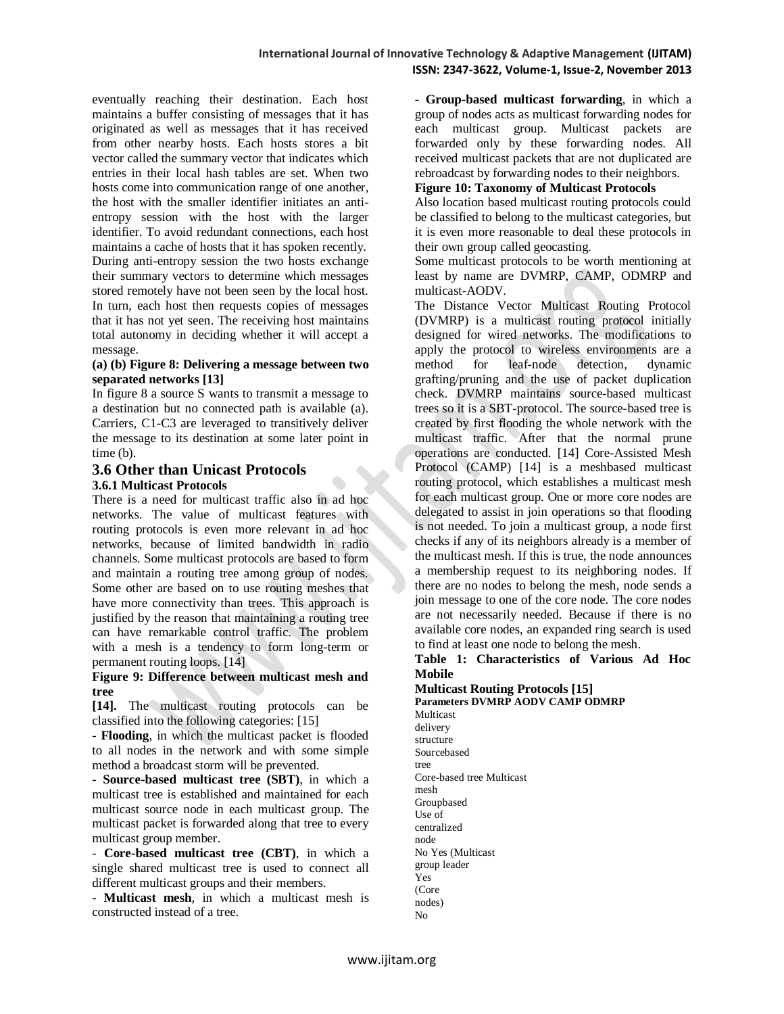eventually reaching their destination. Each host maintains a buffer consisting of messages that it has originated as well as messages that it has received from other nearby hosts. Each hosts stores a bit vector called the summary vector that indicates which entries in their local hash tables are set. When two hosts come into communication range of one another, the host with the smaller identifier initiates an antientropy session with the host with the larger identifier. To avoid redundant connections, each host maintains a cache of hosts that it has spoken recently. During anti-entropy session the two hosts exchange their summary vectors to determine which messages stored remotely have not been seen by the local host. In turn, each host then requests copies of messages that it has not yet seen. The receiving host maintains total autonomy in deciding whether it will accept a message.

#### **(a) (b) Figure 8: Delivering a message between two separated networks [13]**

In figure 8 a source S wants to transmit a message to a destination but no connected path is available (a). Carriers, C1-C3 are leveraged to transitively deliver the message to its destination at some later point in time (b).

#### **3.6 Other than Unicast Protocols 3.6.1 Multicast Protocols**

There is a need for multicast traffic also in ad hoc networks. The value of multicast features with routing protocols is even more relevant in ad hoc networks, because of limited bandwidth in radio channels. Some multicast protocols are based to form and maintain a routing tree among group of nodes. Some other are based on to use routing meshes that have more connectivity than trees. This approach is justified by the reason that maintaining a routing tree can have remarkable control traffic. The problem with a mesh is a tendency to form long-term or permanent routing loops. [14]

#### **Figure 9: Difference between multicast mesh and tree**

**[14].** The multicast routing protocols can be classified into the following categories: [15]

- **Flooding**, in which the multicast packet is flooded to all nodes in the network and with some simple method a broadcast storm will be prevented.

- **Source-based multicast tree (SBT)**, in which a multicast tree is established and maintained for each multicast source node in each multicast group. The multicast packet is forwarded along that tree to every multicast group member.

- **Core-based multicast tree (CBT)**, in which a single shared multicast tree is used to connect all different multicast groups and their members.

- **Multicast mesh**, in which a multicast mesh is constructed instead of a tree.

- **Group-based multicast forwarding**, in which a group of nodes acts as multicast forwarding nodes for each multicast group. Multicast packets are forwarded only by these forwarding nodes. All received multicast packets that are not duplicated are rebroadcast by forwarding nodes to their neighbors.

# **Figure 10: Taxonomy of Multicast Protocols**

Also location based multicast routing protocols could be classified to belong to the multicast categories, but it is even more reasonable to deal these protocols in their own group called geocasting.

Some multicast protocols to be worth mentioning at least by name are DVMRP, CAMP, ODMRP and multicast-AODV.

The Distance Vector Multicast Routing Protocol (DVMRP) is a multicast routing protocol initially designed for wired networks. The modifications to apply the protocol to wireless environments are a method for leaf-node detection, dynamic grafting/pruning and the use of packet duplication check. DVMRP maintains source-based multicast trees so it is a SBT-protocol. The source-based tree is created by first flooding the whole network with the multicast traffic. After that the normal prune operations are conducted. [14] Core-Assisted Mesh Protocol (CAMP) [14] is a meshbased multicast routing protocol, which establishes a multicast mesh for each multicast group. One or more core nodes are delegated to assist in join operations so that flooding is not needed. To join a multicast group, a node first checks if any of its neighbors already is a member of the multicast mesh. If this is true, the node announces a membership request to its neighboring nodes. If there are no nodes to belong the mesh, node sends a join message to one of the core node. The core nodes are not necessarily needed. Because if there is no available core nodes, an expanded ring search is used to find at least one node to belong the mesh.

#### **Table 1: Characteristics of Various Ad Hoc Mobile**

#### **Multicast Routing Protocols [15] Parameters DVMRP AODV CAMP ODMRP**

Multicast delivery structure Sourcebased tree Core-based tree Multicast mesh Groupbased Use of centralized node No Yes (Multicast group leader Yes (Core nodes) No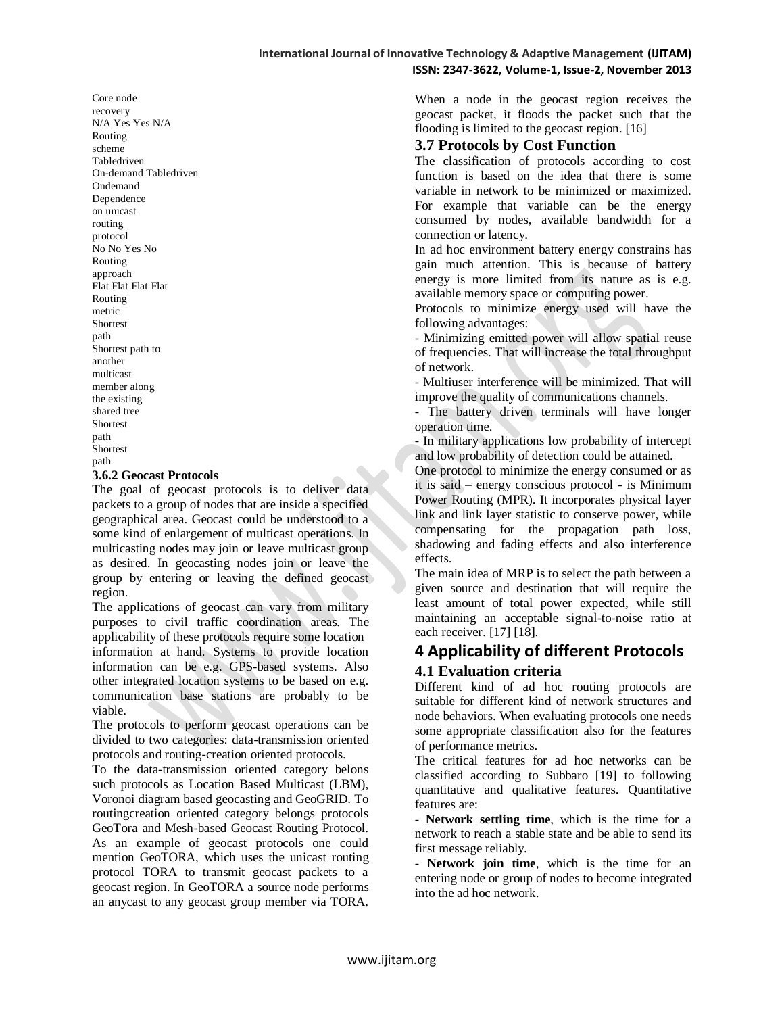Core node recovery N/A Yes Yes N/A Routing scheme Tabledriven On-demand Tabledriven Ondemand Dependence on unicast routing protocol No No Yes No Routing approach Flat Flat Flat Flat Routing metric Shortest path Shortest path to another multicast member along the existing shared tree Shortest path Shortest path

#### **3.6.2 Geocast Protocols**

The goal of geocast protocols is to deliver data packets to a group of nodes that are inside a specified geographical area. Geocast could be understood to a some kind of enlargement of multicast operations. In multicasting nodes may join or leave multicast group as desired. In geocasting nodes join or leave the group by entering or leaving the defined geocast region.

The applications of geocast can vary from military purposes to civil traffic coordination areas. The applicability of these protocols require some location information at hand. Systems to provide location information can be e.g. GPS-based systems. Also other integrated location systems to be based on e.g. communication base stations are probably to be viable.

The protocols to perform geocast operations can be divided to two categories: data-transmission oriented protocols and routing-creation oriented protocols.

To the data-transmission oriented category belons such protocols as Location Based Multicast (LBM), Voronoi diagram based geocasting and GeoGRID. To routingcreation oriented category belongs protocols GeoTora and Mesh-based Geocast Routing Protocol. As an example of geocast protocols one could mention GeoTORA, which uses the unicast routing protocol TORA to transmit geocast packets to a geocast region. In GeoTORA a source node performs an anycast to any geocast group member via TORA.

When a node in the geocast region receives the geocast packet, it floods the packet such that the flooding is limited to the geocast region. [16]

#### **3.7 Protocols by Cost Function**

The classification of protocols according to cost function is based on the idea that there is some variable in network to be minimized or maximized. For example that variable can be the energy consumed by nodes, available bandwidth for a connection or latency.

In ad hoc environment battery energy constrains has gain much attention. This is because of battery energy is more limited from its nature as is e.g. available memory space or computing power.

Protocols to minimize energy used will have the following advantages:

- Minimizing emitted power will allow spatial reuse of frequencies. That will increase the total throughput of network.

- Multiuser interference will be minimized. That will improve the quality of communications channels.

- The battery driven terminals will have longer operation time.

- In military applications low probability of intercept and low probability of detection could be attained.

One protocol to minimize the energy consumed or as it is said – energy conscious protocol - is Minimum Power Routing (MPR). It incorporates physical layer link and link layer statistic to conserve power, while compensating for the propagation path loss, shadowing and fading effects and also interference effects.

The main idea of MRP is to select the path between a given source and destination that will require the least amount of total power expected, while still maintaining an acceptable signal-to-noise ratio at each receiver. [17] [18].

# **4 Applicability of different Protocols 4.1 Evaluation criteria**

Different kind of ad hoc routing protocols are suitable for different kind of network structures and node behaviors. When evaluating protocols one needs some appropriate classification also for the features of performance metrics.

The critical features for ad hoc networks can be classified according to Subbaro [19] to following quantitative and qualitative features. Quantitative features are:

- **Network settling time**, which is the time for a network to reach a stable state and be able to send its first message reliably.

- **Network join time**, which is the time for an entering node or group of nodes to become integrated into the ad hoc network.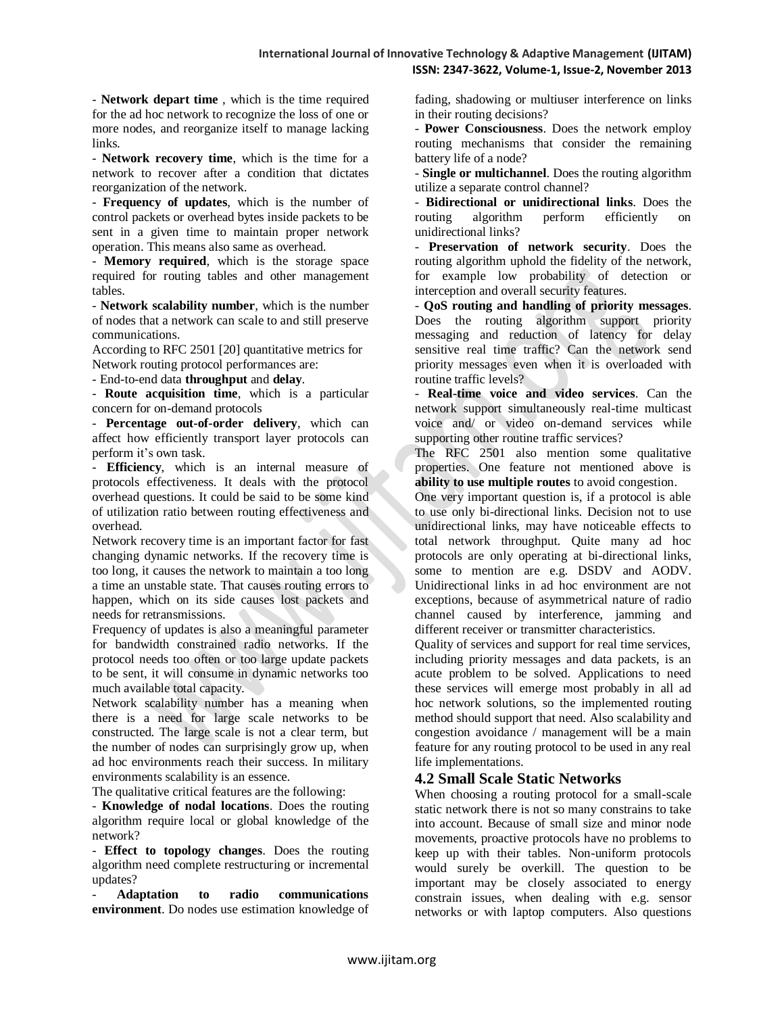- **Network depart time** , which is the time required for the ad hoc network to recognize the loss of one or more nodes, and reorganize itself to manage lacking links.

- **Network recovery time**, which is the time for a network to recover after a condition that dictates reorganization of the network.

- **Frequency of updates**, which is the number of control packets or overhead bytes inside packets to be sent in a given time to maintain proper network operation. This means also same as overhead.

- **Memory required**, which is the storage space required for routing tables and other management tables.

- **Network scalability number**, which is the number of nodes that a network can scale to and still preserve communications.

According to RFC 2501 [20] quantitative metrics for Network routing protocol performances are:

- End-to-end data **throughput** and **delay**.

- **Route acquisition time**, which is a particular concern for on-demand protocols

- **Percentage out-of-order delivery**, which can affect how efficiently transport layer protocols can perform it's own task.

- **Efficiency**, which is an internal measure of protocols effectiveness. It deals with the protocol overhead questions. It could be said to be some kind of utilization ratio between routing effectiveness and overhead.

Network recovery time is an important factor for fast changing dynamic networks. If the recovery time is too long, it causes the network to maintain a too long a time an unstable state. That causes routing errors to happen, which on its side causes lost packets and needs for retransmissions.

Frequency of updates is also a meaningful parameter for bandwidth constrained radio networks. If the protocol needs too often or too large update packets to be sent, it will consume in dynamic networks too much available total capacity.

Network scalability number has a meaning when there is a need for large scale networks to be constructed. The large scale is not a clear term, but the number of nodes can surprisingly grow up, when ad hoc environments reach their success. In military environments scalability is an essence.

The qualitative critical features are the following:

- **Knowledge of nodal locations**. Does the routing algorithm require local or global knowledge of the network?

- **Effect to topology changes**. Does the routing algorithm need complete restructuring or incremental updates?

- **Adaptation to radio communications environment**. Do nodes use estimation knowledge of fading, shadowing or multiuser interference on links in their routing decisions?

- **Power Consciousness**. Does the network employ routing mechanisms that consider the remaining battery life of a node?

- **Single or multichannel**. Does the routing algorithm utilize a separate control channel?

- **Bidirectional or unidirectional links**. Does the routing algorithm perform efficiently unidirectional links?

- **Preservation of network security**. Does the routing algorithm uphold the fidelity of the network, for example low probability of detection or interception and overall security features.

- **QoS routing and handling of priority messages**. Does the routing algorithm support priority messaging and reduction of latency for delay sensitive real time traffic? Can the network send priority messages even when it is overloaded with routine traffic levels?

- **Real-time voice and video services**. Can the network support simultaneously real-time multicast voice and/ or video on-demand services while supporting other routine traffic services?

The RFC 2501 also mention some qualitative properties. One feature not mentioned above is **ability to use multiple routes** to avoid congestion.

One very important question is, if a protocol is able to use only bi-directional links. Decision not to use unidirectional links, may have noticeable effects to total network throughput. Quite many ad hoc protocols are only operating at bi-directional links, some to mention are e.g. DSDV and AODV. Unidirectional links in ad hoc environment are not exceptions, because of asymmetrical nature of radio channel caused by interference, jamming and different receiver or transmitter characteristics.

Quality of services and support for real time services, including priority messages and data packets, is an acute problem to be solved. Applications to need these services will emerge most probably in all ad hoc network solutions, so the implemented routing method should support that need. Also scalability and congestion avoidance / management will be a main feature for any routing protocol to be used in any real life implementations.

# **4.2 Small Scale Static Networks**

When choosing a routing protocol for a small-scale static network there is not so many constrains to take into account. Because of small size and minor node movements, proactive protocols have no problems to keep up with their tables. Non-uniform protocols would surely be overkill. The question to be important may be closely associated to energy constrain issues, when dealing with e.g. sensor networks or with laptop computers. Also questions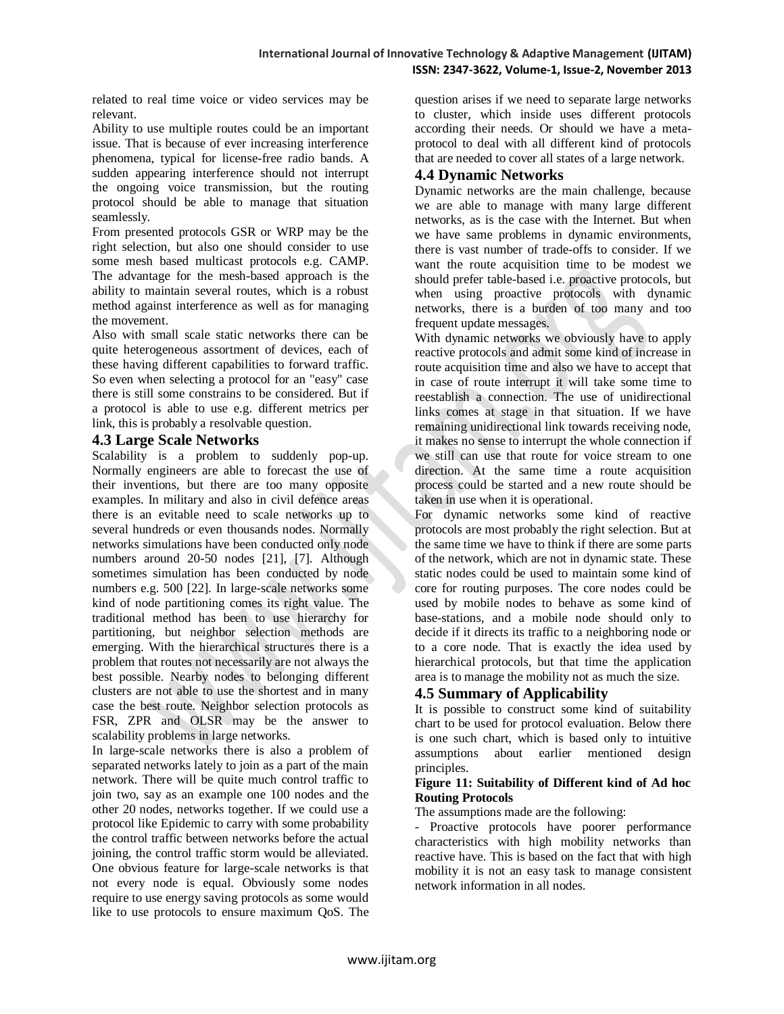related to real time voice or video services may be relevant.

Ability to use multiple routes could be an important issue. That is because of ever increasing interference phenomena, typical for license-free radio bands. A sudden appearing interference should not interrupt the ongoing voice transmission, but the routing protocol should be able to manage that situation seamlessly.

From presented protocols GSR or WRP may be the right selection, but also one should consider to use some mesh based multicast protocols e.g. CAMP. The advantage for the mesh-based approach is the ability to maintain several routes, which is a robust method against interference as well as for managing the movement.

Also with small scale static networks there can be quite heterogeneous assortment of devices, each of these having different capabilities to forward traffic. So even when selecting a protocol for an "easy" case there is still some constrains to be considered. But if a protocol is able to use e.g. different metrics per link, this is probably a resolvable question.

#### **4.3 Large Scale Networks**

Scalability is a problem to suddenly pop-up. Normally engineers are able to forecast the use of their inventions, but there are too many opposite examples. In military and also in civil defence areas there is an evitable need to scale networks up to several hundreds or even thousands nodes. Normally networks simulations have been conducted only node numbers around 20-50 nodes [21], [7]. Although sometimes simulation has been conducted by node numbers e.g. 500 [22]. In large-scale networks some kind of node partitioning comes its right value. The traditional method has been to use hierarchy for partitioning, but neighbor selection methods are emerging. With the hierarchical structures there is a problem that routes not necessarily are not always the best possible. Nearby nodes to belonging different clusters are not able to use the shortest and in many case the best route. Neighbor selection protocols as FSR, ZPR and OLSR may be the answer to scalability problems in large networks.

In large-scale networks there is also a problem of separated networks lately to join as a part of the main network. There will be quite much control traffic to join two, say as an example one 100 nodes and the other 20 nodes, networks together. If we could use a protocol like Epidemic to carry with some probability the control traffic between networks before the actual joining, the control traffic storm would be alleviated. One obvious feature for large-scale networks is that not every node is equal. Obviously some nodes require to use energy saving protocols as some would like to use protocols to ensure maximum QoS. The

question arises if we need to separate large networks to cluster, which inside uses different protocols according their needs. Or should we have a metaprotocol to deal with all different kind of protocols that are needed to cover all states of a large network.

# **4.4 Dynamic Networks**

Dynamic networks are the main challenge, because we are able to manage with many large different networks, as is the case with the Internet. But when we have same problems in dynamic environments, there is vast number of trade-offs to consider. If we want the route acquisition time to be modest we should prefer table-based i.e. proactive protocols, but when using proactive protocols with dynamic networks, there is a burden of too many and too frequent update messages.

With dynamic networks we obviously have to apply reactive protocols and admit some kind of increase in route acquisition time and also we have to accept that in case of route interrupt it will take some time to reestablish a connection. The use of unidirectional links comes at stage in that situation. If we have remaining unidirectional link towards receiving node, it makes no sense to interrupt the whole connection if we still can use that route for voice stream to one direction. At the same time a route acquisition process could be started and a new route should be taken in use when it is operational.

For dynamic networks some kind of reactive protocols are most probably the right selection. But at the same time we have to think if there are some parts of the network, which are not in dynamic state. These static nodes could be used to maintain some kind of core for routing purposes. The core nodes could be used by mobile nodes to behave as some kind of base-stations, and a mobile node should only to decide if it directs its traffic to a neighboring node or to a core node. That is exactly the idea used by hierarchical protocols, but that time the application area is to manage the mobility not as much the size.

# **4.5 Summary of Applicability**

It is possible to construct some kind of suitability chart to be used for protocol evaluation. Below there is one such chart, which is based only to intuitive assumptions about earlier mentioned design principles.

#### **Figure 11: Suitability of Different kind of Ad hoc Routing Protocols**

The assumptions made are the following:

- Proactive protocols have poorer performance characteristics with high mobility networks than reactive have. This is based on the fact that with high mobility it is not an easy task to manage consistent network information in all nodes.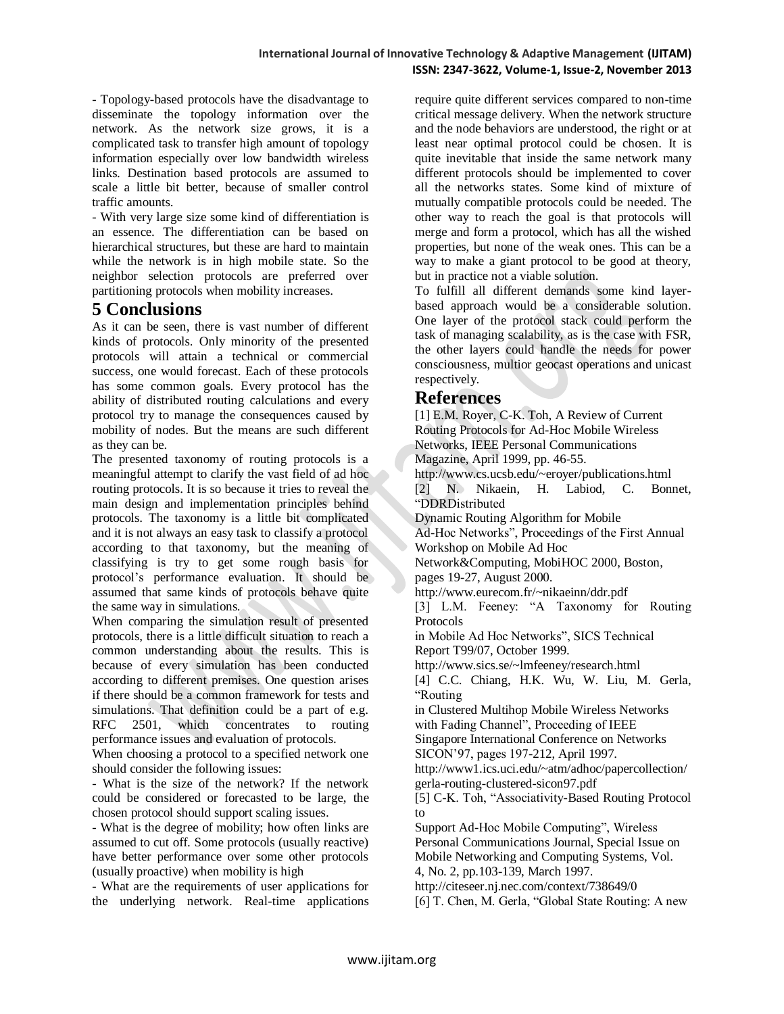- Topology-based protocols have the disadvantage to disseminate the topology information over the network. As the network size grows, it is a complicated task to transfer high amount of topology information especially over low bandwidth wireless links. Destination based protocols are assumed to scale a little bit better, because of smaller control traffic amounts.

- With very large size some kind of differentiation is an essence. The differentiation can be based on hierarchical structures, but these are hard to maintain while the network is in high mobile state. So the neighbor selection protocols are preferred over partitioning protocols when mobility increases.

# **5 Conclusions**

As it can be seen, there is vast number of different kinds of protocols. Only minority of the presented protocols will attain a technical or commercial success, one would forecast. Each of these protocols has some common goals. Every protocol has the ability of distributed routing calculations and every protocol try to manage the consequences caused by mobility of nodes. But the means are such different as they can be.

The presented taxonomy of routing protocols is a meaningful attempt to clarify the vast field of ad hoc routing protocols. It is so because it tries to reveal the main design and implementation principles behind protocols. The taxonomy is a little bit complicated and it is not always an easy task to classify a protocol according to that taxonomy, but the meaning of classifying is try to get some rough basis for protocol's performance evaluation. It should be assumed that same kinds of protocols behave quite the same way in simulations.

When comparing the simulation result of presented protocols, there is a little difficult situation to reach a common understanding about the results. This is because of every simulation has been conducted according to different premises. One question arises if there should be a common framework for tests and simulations. That definition could be a part of e.g.<br>RFC 2501, which concentrates to routing which concentrates to routing performance issues and evaluation of protocols.

When choosing a protocol to a specified network one should consider the following issues:

- What is the size of the network? If the network could be considered or forecasted to be large, the chosen protocol should support scaling issues.

- What is the degree of mobility; how often links are assumed to cut off. Some protocols (usually reactive) have better performance over some other protocols (usually proactive) when mobility is high

- What are the requirements of user applications for the underlying network. Real-time applications require quite different services compared to non-time critical message delivery. When the network structure and the node behaviors are understood, the right or at least near optimal protocol could be chosen. It is quite inevitable that inside the same network many different protocols should be implemented to cover all the networks states. Some kind of mixture of mutually compatible protocols could be needed. The other way to reach the goal is that protocols will merge and form a protocol, which has all the wished properties, but none of the weak ones. This can be a way to make a giant protocol to be good at theory, but in practice not a viable solution.

To fulfill all different demands some kind layerbased approach would be a considerable solution. One layer of the protocol stack could perform the task of managing scalability, as is the case with FSR, the other layers could handle the needs for power consciousness, multior geocast operations and unicast respectively.

# **References**

[1] E.M. Royer, C-K. Toh, A Review of Current Routing Protocols for Ad-Hoc Mobile Wireless Networks, IEEE Personal Communications Magazine, April 1999, pp. 46-55. http://www.cs.ucsb.edu/~eroyer/publications.html [2] N. Nikaein, H. Labiod, C. Bonnet, "DDRDistributed Dynamic Routing Algorithm for Mobile Ad-Hoc Networks", Proceedings of the First Annual Workshop on Mobile Ad Hoc Network&Computing, MobiHOC 2000, Boston, pages 19-27, August 2000. http://www.eurecom.fr/~nikaeinn/ddr.pdf [3] L.M. Feeney: "A Taxonomy for Routing Protocols in Mobile Ad Hoc Networks", SICS Technical Report T99/07, October 1999. http://www.sics.se/~lmfeeney/research.html [4] C.C. Chiang, H.K. Wu, W. Liu, M. Gerla, "Routing in Clustered Multihop Mobile Wireless Networks with Fading Channel", Proceeding of IEEE Singapore International Conference on Networks SICON'97, pages 197-212, April 1997. http://www1.ics.uci.edu/~atm/adhoc/papercollection/ gerla-routing-clustered-sicon97.pdf [5] C-K. Toh, "Associativity-Based Routing Protocol to Support Ad-Hoc Mobile Computing", Wireless Personal Communications Journal, Special Issue on Mobile Networking and Computing Systems, Vol. 4, No. 2, pp.103-139, March 1997. http://citeseer.nj.nec.com/context/738649/0

[6] T. Chen, M. Gerla, "Global State Routing: A new